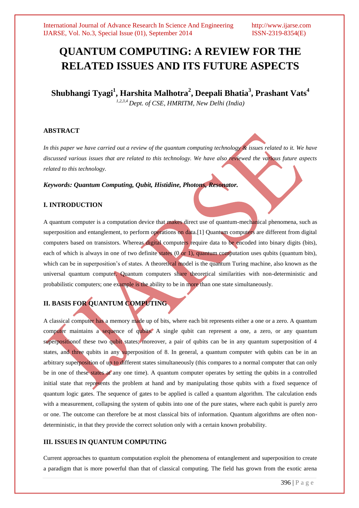# **QUANTUM COMPUTING: A REVIEW FOR THE RELATED ISSUES AND ITS FUTURE ASPECTS**

**Shubhangi Tyagi<sup>1</sup> , Harshita Malhotra<sup>2</sup> , Deepali Bhatia<sup>3</sup> , Prashant Vats<sup>4</sup>** *1,2,3,4 Dept. of CSE, HMRITM, New Delhi (India)*

### **ABSTRACT**

*In this paper we have carried out a review of the quantum computing technology & issues related to it. We have discussed various issues that are related to this technology. We have also reviewed the various future aspects related to this technology.*

### *Keywords: Quantum Computing, Qubit, Histidine, Photons, Resonator.*

### **I. INTRODUCTION**

A quantum computer is a computation device that **makes** direct use of quantum-mechanical phenomena, such as superposition and entanglement, to perform operations on data.[1] Quantum computers are different from digital computers based on transistors. Whereas digital computers require data to be encoded into binary digits (bits), each of which is always in one of two definite states  $(0 \text{ or } 1)$ , quantum computation uses qubits (quantum bits), which can be in superposition's of states. A theoretical model is the quantum Turing machine, also known as the universal quantum computer. Quantum computers share theoretical similarities with non-deterministic and probabilistic computers; one example is the ability to be in more than one state simultaneously.

# **II. BASIS FOR QUANTUM COMPUTING**

A classical computer has a memory made up of bits, where each bit represents either a one or a zero. A quantum computer maintains a sequence of qubits. A single qubit can represent a one, a zero, or any quantum superposition of these two qubit states; moreover, a pair of qubits can be in any quantum superposition of 4 states, and three qubits in any superposition of 8. In general, a quantum computer with qubits can be in an arbitrary superposition of up to different states simultaneously (this compares to a normal computer that can only be in one of these states at any one time). A quantum computer operates by setting the qubits in a controlled initial state that represents the problem at hand and by manipulating those qubits with a fixed sequence of quantum logic gates. The sequence of gates to be applied is called a quantum algorithm. The calculation ends with a measurement, collapsing the system of qubits into one of the pure states, where each qubit is purely zero or one. The outcome can therefore be at most classical bits of information. Quantum algorithms are often nondeterministic, in that they provide the correct solution only with a certain known probability.

### **III. ISSUES IN QUANTUM COMPUTING**

Current approaches to quantum computation exploit the phenomena of entanglement and superposition to create a paradigm that is more powerful than that of classical computing. The field has grown from the exotic arena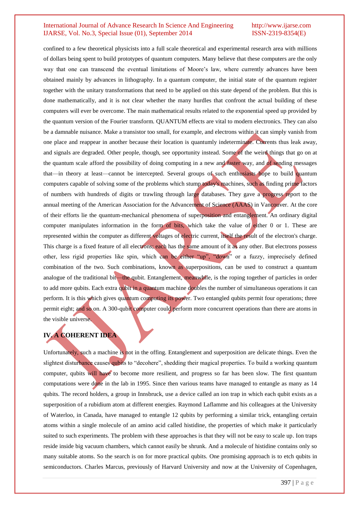confined to a few theoretical physicists into a full scale theoretical and experimental research area with millions of dollars being spent to build prototypes of quantum computers. Many believe that these computers are the only way that one can transcend the eventual limitations of Moore's law, where currently advances have been obtained mainly by advances in lithography. In a quantum computer, the initial state of the quantum register together with the unitary transformations that need to be applied on this state depend of the problem. But this is done mathematically, and it is not clear whether the many hurdles that confront the actual building of these computers will ever be overcome. The main mathematical results related to the exponential speed up provided by the quantum version of the Fourier transform. QUANTUM effects are vital to modern electronics. They can also be a damnable nuisance. Make a transistor too small, for example, and electrons within it can simply vanish from one place and reappear in another because their location is quantumly indeterminate. Currents thus leak away, and signals are degraded. Other people, though, see opportunity instead. Some of the weird things that go on at the quantum scale afford the possibility of doing computing in a new and faster way, and of sending messages that—in theory at least—cannot be intercepted. Several groups of such enthusiasts hope to build quantum computers capable of solving some of the problems which stump today's machines, such as finding prime factors of numbers with hundreds of digits or trawling through large databases. They gave a progress report to the annual meeting of the American Association for the Advancement of Science (AAAS) in Vancouver. At the core of their efforts lie the quantum-mechanical phenomena of superposition and entanglement. An ordinary digital computer manipulates information in the form of bits, which take the value of either 0 or 1. These are represented within the computer as different voltages of electric current, itself the result of the electron's charge. This charge is a fixed feature of all electrons; each has the same amount of it as any other. But electrons possess other, less rigid properties like spin, which can be either "up", "down" or a fuzzy, imprecisely defined combination of the two. Such combinations, known as superpositions, can be used to construct a quantum analogue of the traditional bit—the qubit. Entanglement, meanwhile, is the roping together of particles in order to add more qubits. Each extra qubit in a quantum machine doubles the number of simultaneous operations it can perform. It is this which gives quantum computing its power. Two entangled qubits permit four operations; three permit eight; and so on. A 300-qubit computer could perform more concurrent operations than there are atoms in the visible universe.

# **IV. A COHERENT IDEA**

Unfortunately, such a machine is not in the offing. Entanglement and superposition are delicate things. Even the slightest disturbance causes qubits to "decohere", shedding their magical properties. To build a working quantum computer, qubits will have to become more resilient, and progress so far has been slow. The first quantum computations were done in the lab in 1995. Since then various teams have managed to entangle as many as 14 qubits. The record holders, a group in Innsbruck, use a device called an ion trap in which each qubit exists as a superposition of a rubidium atom at different energies. Raymond Laflamme and his colleagues at the University of Waterloo, in Canada, have managed to entangle 12 qubits by performing a similar trick, entangling certain atoms within a single molecule of an amino acid called histidine, the properties of which make it particularly suited to such experiments. The problem with these approaches is that they will not be easy to scale up. Ion traps reside inside big vacuum chambers, which cannot easily be shrunk. And a molecule of histidine contains only so many suitable atoms. So the search is on for more practical qubits. One promising approach is to etch qubits in semiconductors. Charles Marcus, previously of Harvard University and now at the University of Copenhagen,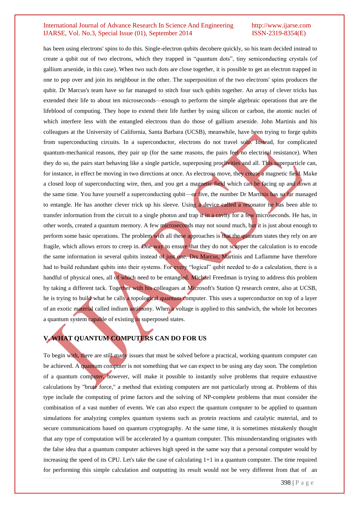has been using electrons' spins to do this. Single-electron qubits decohere quickly, so his team decided instead to create a qubit out of two electrons, which they trapped in "quantum dots", tiny semiconducting crystals (of gallium arsenide, in this case). When two such dots are close together, it is possible to get an electron trapped in one to pop over and join its neighbour in the other. The superposition of the two electrons' spins produces the qubit. Dr Marcus's team have so far managed to stitch four such qubits together. An array of clever tricks has extended their life to about ten microseconds—enough to perform the simple algebraic operations that are the lifeblood of computing. They hope to extend their life further by using silicon or carbon, the atomic nuclei of which interfere less with the entangled electrons than do those of gallium arsenide. John Martinis and his colleagues at the University of California, Santa Barbara (UCSB), meanwhile, have been trying to forge qubits from superconducting circuits. In a superconductor, electrons do not travel solo. Instead, for complicated quantum-mechanical reasons, they pair up (for the same reasons, the pairs feel no electrical resistance). When they do so, the pairs start behaving like a single particle, superposing proclivities and all. This superparticle can, for instance, in effect be moving in two directions at once. As electrons move, they create a magnetic field. Make a closed loop of superconducting wire, then, and you get a magnetic field which can be facing up and down at the same time. You have yourself a superconducting qubit—or five, the number Dr Martinis has so far managed to entangle. He has another clever trick up his sleeve. Using a device called a resonator he has been able to transfer information from the circuit to a single photon and trap it in a cavity for a few microseconds. He has, in other words, created a quantum memory. A few microseconds may not sound much, but it is just about enough to perform some basic operations. The problem with all these approaches is that the quantum states they rely on are fragile, which allows errors to creep in. One way to ensure that they do not scupper the calculation is to encode the same information in several qubits instead of just one. Drs Marcus, Martinis and Laflamme have therefore had to build redundant qubits into their systems. For every "logical" qubit needed to do a calculation, there is a handful of physical ones, all of which need to be entangled. Michael Freedman is trying to address this problem by taking a different tack. Together with his colleagues at Microsoft's Station Q research centre, also at UCSB, he is trying to build what he calls a topological quantum computer. This uses a superconductor on top of a layer of an exotic material called indium antimony. When a voltage is applied to this sandwich, the whole lot becomes a quantum system capable of existing in superposed states.

# **V. WHAT QUANTUM COMPUTERS CAN DO FOR US**

To begin with, there are still many issues that must be solved before a practical, working quantum computer can be achieved. A quantum computer is not something that we can expect to be using any day soon. The completion of a quantum computer, however, will make it possible to instantly solve problems that require exhaustive calculations by "brute force," a method that existing computers are not particularly strong at. Problems of this type include the computing of prime factors and the solving of NP-complete problems that must consider the combination of a vast number of events. We can also expect the quantum computer to be applied to quantum simulations for analyzing complex quantum systems such as protein reactions and catalytic material, and to secure communications based on quantum cryptography. At the same time, it is sometimes mistakenly thought that any type of computation will be accelerated by a quantum computer. This misunderstanding originates with the false idea that a quantum computer achieves high speed in the same way that a personal computer would by increasing the speed of its CPU. Let's take the case of calculating 1+1 in a quantum computer. The time required for performing this simple calculation and outputting its result would not be very different from that of an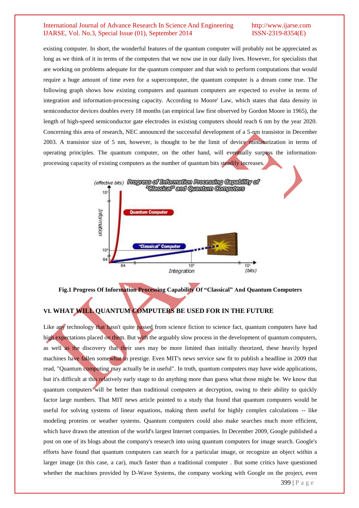existing computer. In short, the wonderful features of the quantum computer will probably not be appreciated as long as we think of it in terms of the computers that we now use in our daily lives. However, for specialists that are working on problems adequate for the quantum computer and that wish to perform computations that would require a huge amount of time even for a supercomputer, the quantum computer is a dream come true. The following graph shows how existing computers and quantum computers are expected to evolve in terms of integration and information-processing capacity. According to Moore' Law, which states that data density in semiconductor devices doubles every 18 months (an empirical law first observed by Gordon Moore in 1965), the length of high-speed semiconductor gate electrodes in existing computers should reach 6 nm by the year 2020. Concerning this area of research, NEC announced the successful development of a 5-nm transistor in December 2003. A transistor size of 5 nm, however, is thought to be the limit of device miniaturization in terms of operating principles. The quantum computer, on the other hand, will eventually surpass the informationprocessing capacity of existing computers as the number of quantum bits steadily increases.



**Fig.1 Progress Of Information Processing Capability Of "Classical" And Quantum Computers**

### **VI. WHAT WILL QUANTUM COMPUTERS BE USED FOR IN THE FUTURE**

Like any technology that hasn't quite passed from science fiction to science fact, quantum computers have had high expectations placed on them. But with the arguably slow process in the development of quantum computers, as well as the discovery that their uses may be more limited than initially theorized, these heavily hyped machines have fallen somewhat in prestige. Even MIT's news service saw fit to publish a headline in 2009 that read, "Quantum computing may actually be in useful". In truth, quantum computers may have wide applications, but it's difficult at this relatively early stage to do anything more than guess what those might be. We know that quantum computers will be better than traditional computers at decryption, owing to their ability to quickly factor large numbers. That MIT news article pointed to a study that found that quantum computers would be useful for solving systems of linear equations, making them useful for highly complex calculations -- like modeling proteins or weather systems. Quantum computers could also make searches much more efficient, which have drawn the attention of the world's largest Internet companies. In December 2009, Google published a post on one of its blogs about the company's research into using quantum computers for image search. Google's efforts have found that quantum computers can search for a particular image, or recognize an object within a larger image (in this case, a car), much faster than a traditional computer . But some critics have questioned whether the machines provided by D-Wave Systems, the company working with Google on the project, even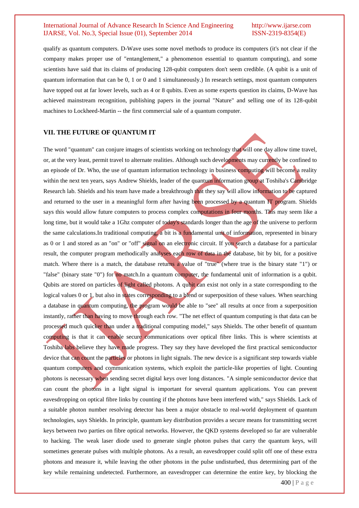qualify as quantum computers. D-Wave uses some novel methods to produce its computers (it's not clear if the company makes proper use of "entanglement," a phenomenon essential to quantum computing), and some scientists have said that its claims of producing 128-qubit computers don't seem credible. (A qubit is a unit of quantum information that can be 0, 1 or 0 and 1 simultaneously.) In research settings, most quantum computers have topped out at far lower levels, such as 4 or 8 qubits. Even as some experts question its claims, D-Wave has achieved mainstream recognition, publishing papers in the journal "Nature" and selling one of its 128-qubit machines to Lockheed-Martin -- the first commercial sale of a quantum computer.

#### **VII. THE FUTURE OF QUANTUM IT**

The word "quantum" can conjure images of scientists working on technology that will one day allow time travel, or, at the very least, permit travel to alternate realities. Although such developments may currently be confined to an episode of Dr. Who, the use of quantum information technology in business computing will become a reality within the next ten years, says Andrew Shields, leader of the quantum information group at Toshiba's Cambridge Research lab. Shields and his team have made a breakthrough that they say will allow information to be captured and returned to the user in a meaningful form after having been processed by a quantum IT program. Shields says this would allow future computers to process complex computations in four months. This may seem like a long time, but it would take a 1Ghz computer of today's standards longer than the age of the universe to perform the same calculations.In traditional computing, a bit is a fundamental unit of information, represented in binary as 0 or 1 and stored as an "on" or "off" signal on an electronic circuit. If you search a database for a particular result, the computer program methodically analyses each row of data in the database, bit by bit, for a positive match. Where there is a match, the database returns a value of "true" (where true is the binary state "1") or "false" (binary state "0") for no match.In a quantum computer, the fundamental unit of information is a qubit. Qubits are stored on particles of light called photons. A qubit can exist not only in a state corresponding to the logical values 0 or 1, but also in states corresponding to a blend or superposition of these values. When searching a database in quantum computing, the program would be able to "see" all results at once from a superposition instantly, rather than having to move through each row. "The net effect of quantum computing is that data can be processed much quicker than under a traditional computing model," says Shields. The other benefit of quantum computing is that it can enable secure communications over optical fibre links. This is where scientists at Toshiba labs believe they have made progress. They say they have developed the first practical semiconductor device that can count the particles or photons in light signals. The new device is a significant step towards viable quantum computers and communication systems, which exploit the particle-like properties of light. Counting photons is necessary when sending secret digital keys over long distances. "A simple semiconductor device that can count the photons in a light signal is important for several quantum applications. You can prevent eavesdropping on optical fibre links by counting if the photons have been interfered with," says Shields. Lack of a suitable photon number resolving detector has been a major obstacle to real-world deployment of quantum technologies, says Shields. In principle, quantum key distribution provides a secure means for transmitting secret keys between two parties on fibre optical networks. However, the QKD systems developed so far are vulnerable to hacking. The weak laser diode used to generate single photon pulses that carry the quantum keys, will sometimes generate pulses with multiple photons. As a result, an eavesdropper could split off one of these extra photons and measure it, while leaving the other photons in the pulse undisturbed, thus determining part of the key while remaining undetected. Furthermore, an eavesdropper can determine the entire key, by blocking the